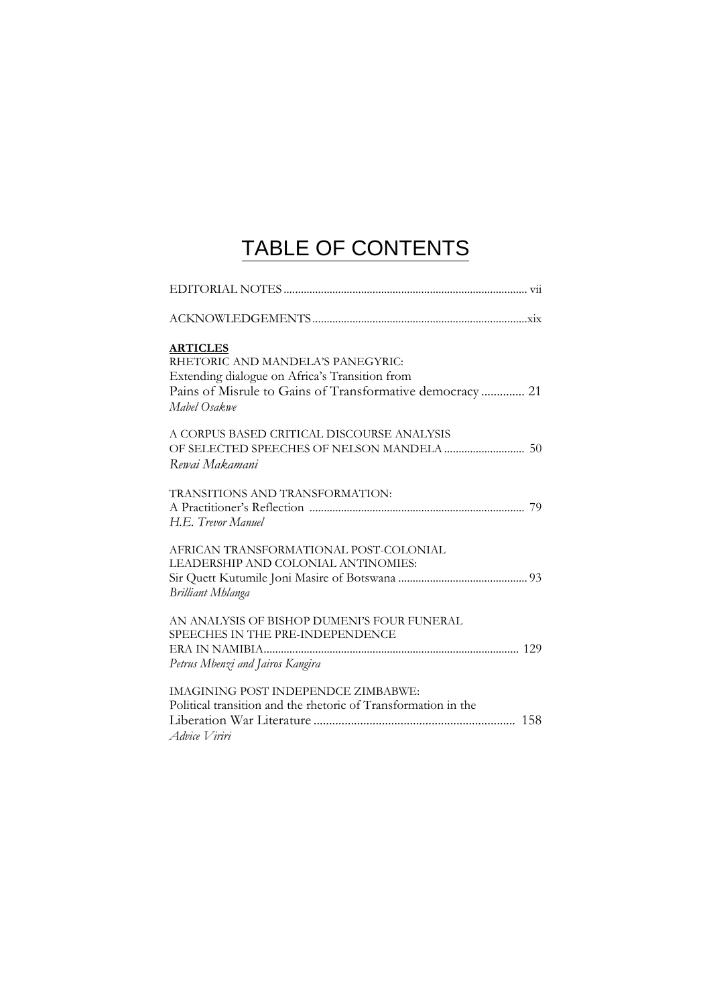## TABLE OF CONTENTS

| <b>ARTICLES</b>                                                          |  |
|--------------------------------------------------------------------------|--|
| RHETORIC AND MANDELA'S PANEGYRIC:                                        |  |
| Extending dialogue on Africa's Transition from                           |  |
| Pains of Misrule to Gains of Transformative democracy 21<br>Mabel Osakwe |  |
| A CORPUS BASED CRITICAL DISCOURSE ANALYSIS                               |  |
|                                                                          |  |
| Rewai Makamani                                                           |  |
| TRANSITIONS AND TRANSFORMATION:                                          |  |
|                                                                          |  |
| H.E. Trevor Manuel                                                       |  |
| AFRICAN TRANSFORMATIONAL POST-COLONIAL                                   |  |
| LEADERSHIP AND COLONIAL ANTINOMIES:                                      |  |
| <b>Brilliant Mhlanga</b>                                                 |  |
| AN ANALYSIS OF BISHOP DUMENI'S FOUR FUNERAL                              |  |
| SPEECHES IN THE PRE-INDEPENDENCE                                         |  |
|                                                                          |  |
| Petrus Mbenzi and Jairos Kangira                                         |  |
| <b>IMAGINING POST INDEPENDCE ZIMBABWE:</b>                               |  |
| Political transition and the rhetoric of Transformation in the           |  |
|                                                                          |  |
| Advice Viriri                                                            |  |